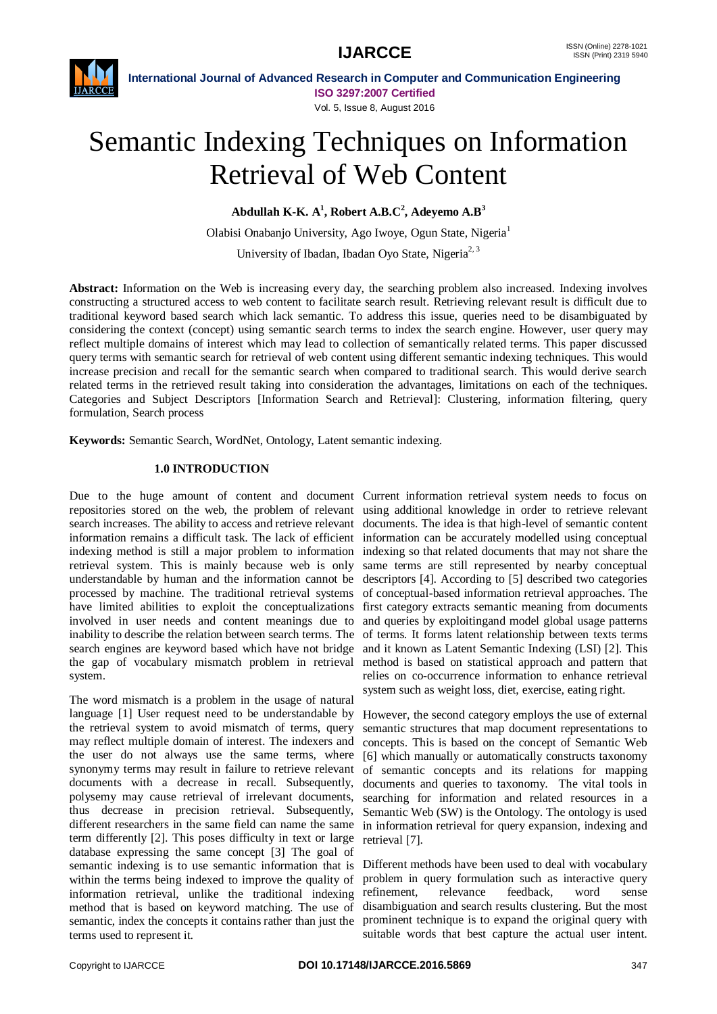

**International Journal of Advanced Research in Computer and Communication Engineering**

**ISO 3297:2007 Certified** Vol. 5, Issue 8, August 2016

# Semantic Indexing Techniques on Information Retrieval of Web Content

**Abdullah K-K. A<sup>1</sup> , Robert A.B.C<sup>2</sup> , Adeyemo A.B<sup>3</sup>**

Olabisi Onabanjo University, Ago Iwoye, Ogun State, Nigeria<sup>1</sup> University of Ibadan, Ibadan Oyo State, Nigeria<sup>2, 3</sup>

**Abstract:** Information on the Web is increasing every day, the searching problem also increased. Indexing involves constructing a structured access to web content to facilitate search result. Retrieving relevant result is difficult due to traditional keyword based search which lack semantic. To address this issue, queries need to be disambiguated by considering the context (concept) using semantic search terms to index the search engine. However, user query may reflect multiple domains of interest which may lead to collection of semantically related terms. This paper discussed query terms with semantic search for retrieval of web content using different semantic indexing techniques. This would increase precision and recall for the semantic search when compared to traditional search. This would derive search related terms in the retrieved result taking into consideration the advantages, limitations on each of the techniques. Categories and Subject Descriptors [Information Search and Retrieval]: Clustering, information filtering, query formulation, Search process

**Keywords:** Semantic Search, WordNet, Ontology, Latent semantic indexing.

# **1.0 INTRODUCTION**

Due to the huge amount of content and document Current information retrieval system needs to focus on repositories stored on the web, the problem of relevant using additional knowledge in order to retrieve relevant search increases. The ability to access and retrieve relevant documents. The idea is that high-level of semantic content information remains a difficult task. The lack of efficient information can be accurately modelled using conceptual indexing method is still a major problem to information indexing so that related documents that may not share the retrieval system. This is mainly because web is only same terms are still represented by nearby conceptual understandable by human and the information cannot be descriptors [4]. According to [5] described two categories processed by machine. The traditional retrieval systems have limited abilities to exploit the conceptualizations involved in user needs and content meanings due to inability to describe the relation between search terms. The search engines are keyword based which have not bridge the gap of vocabulary mismatch problem in retrieval system.

The word mismatch is a problem in the usage of natural language [1] User request need to be understandable by However, the second category employs the use of external the retrieval system to avoid mismatch of terms, query may reflect multiple domain of interest. The indexers and the user do not always use the same terms, where synonymy terms may result in failure to retrieve relevant documents with a decrease in recall. Subsequently, polysemy may cause retrieval of irrelevant documents, thus decrease in precision retrieval. Subsequently, different researchers in the same field can name the same term differently [2]. This poses difficulty in text or large database expressing the same concept [3] The goal of semantic indexing is to use semantic information that is Different methods have been used to deal with vocabulary within the terms being indexed to improve the quality of problem in query formulation such as interactive query information retrieval, unlike the traditional indexing refinement, relevance feedback, word sense method that is based on keyword matching. The use of disambiguation and search results clustering. But the most semantic, index the concepts it contains rather than just the prominent technique is to expand the original query with terms used to represent it.

of conceptual-based information retrieval approaches. The first category extracts semantic meaning from documents and queries by exploitingand model global usage patterns of terms. It forms latent relationship between texts terms and it known as Latent Semantic Indexing (LSI) [2]. This method is based on statistical approach and pattern that relies on co-occurrence information to enhance retrieval system such as weight loss, diet, exercise, eating right.

semantic structures that map document representations to concepts. This is based on the concept of Semantic Web [6] which manually or automatically constructs taxonomy of semantic concepts and its relations for mapping documents and queries to taxonomy. The vital tools in searching for information and related resources in a Semantic Web (SW) is the Ontology. The ontology is used in information retrieval for query expansion, indexing and retrieval [7].

suitable words that best capture the actual user intent.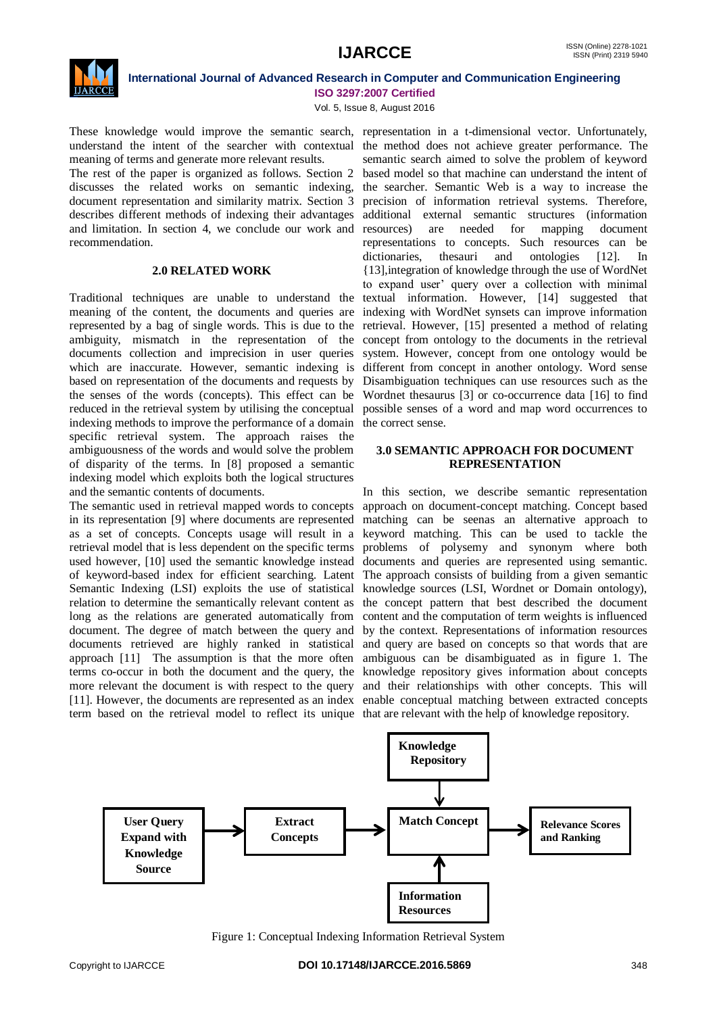

### **International Journal of Advanced Research in Computer and Communication Engineering ISO 3297:2007 Certified**

Vol. 5, Issue 8, August 2016

meaning of terms and generate more relevant results.

The rest of the paper is organized as follows. Section 2 based model so that machine can understand the intent of discusses the related works on semantic indexing, the searcher. Semantic Web is a way to increase the document representation and similarity matrix. Section 3 precision of information retrieval systems. Therefore, describes different methods of indexing their advantages additional external semantic structures (information and limitation. In section 4, we conclude our work and resources) are needed for mapping document recommendation.

# **2.0 RELATED WORK**

Traditional techniques are unable to understand the textual information. However, [14] suggested that meaning of the content, the documents and queries are indexing with WordNet synsets can improve information represented by a bag of single words. This is due to the retrieval. However, [15] presented a method of relating ambiguity, mismatch in the representation of the concept from ontology to the documents in the retrieval documents collection and imprecision in user queries system. However, concept from one ontology would be which are inaccurate. However, semantic indexing is different from concept in another ontology. Word sense based on representation of the documents and requests by Disambiguation techniques can use resources such as the the senses of the words (concepts). This effect can be Wordnet thesaurus [3] or co-occurrence data [16] to find reduced in the retrieval system by utilising the conceptual possible senses of a word and map word occurrences to indexing methods to improve the performance of a domain the correct sense. specific retrieval system. The approach raises the ambiguousness of the words and would solve the problem of disparity of the terms. In [8] proposed a semantic indexing model which exploits both the logical structures and the semantic contents of documents.

The semantic used in retrieval mapped words to concepts approach on document-concept matching. Concept based in its representation [9] where documents are represented matching can be seenas an alternative approach to as a set of concepts. Concepts usage will result in a keyword matching. This can be used to tackle the retrieval model that is less dependent on the specific terms used however, [10] used the semantic knowledge instead of keyword-based index for efficient searching. Latent The approach consists of building from a given semantic Semantic Indexing (LSI) exploits the use of statistical knowledge sources (LSI, Wordnet or Domain ontology), relation to determine the semantically relevant content as the concept pattern that best described the document long as the relations are generated automatically from document. The degree of match between the query and by the context. Representations of information resources documents retrieved are highly ranked in statistical approach [11] The assumption is that the more often terms co-occur in both the document and the query, the knowledge repository gives information about concepts more relevant the document is with respect to the query and their relationships with other concepts. This will [11]. However, the documents are represented as an index enable conceptual matching between extracted concepts term based on the retrieval model to reflect its unique that are relevant with the help of knowledge repository.

These knowledge would improve the semantic search, representation in a t-dimensional vector. Unfortunately, understand the intent of the searcher with contextual the method does not achieve greater performance. The semantic search aimed to solve the problem of keyword representations to concepts. Such resources can be dictionaries, thesauri and ontologies [12]. In {13],integration of knowledge through the use of WordNet to expand user' query over a collection with minimal

# **3.0 SEMANTIC APPROACH FOR DOCUMENT REPRESENTATION**

In this section, we describe semantic representation problems of polysemy and synonym where both documents and queries are represented using semantic. content and the computation of term weights is influenced and query are based on concepts so that words that are ambiguous can be disambiguated as in figure 1. The



Figure 1: Conceptual Indexing Information Retrieval System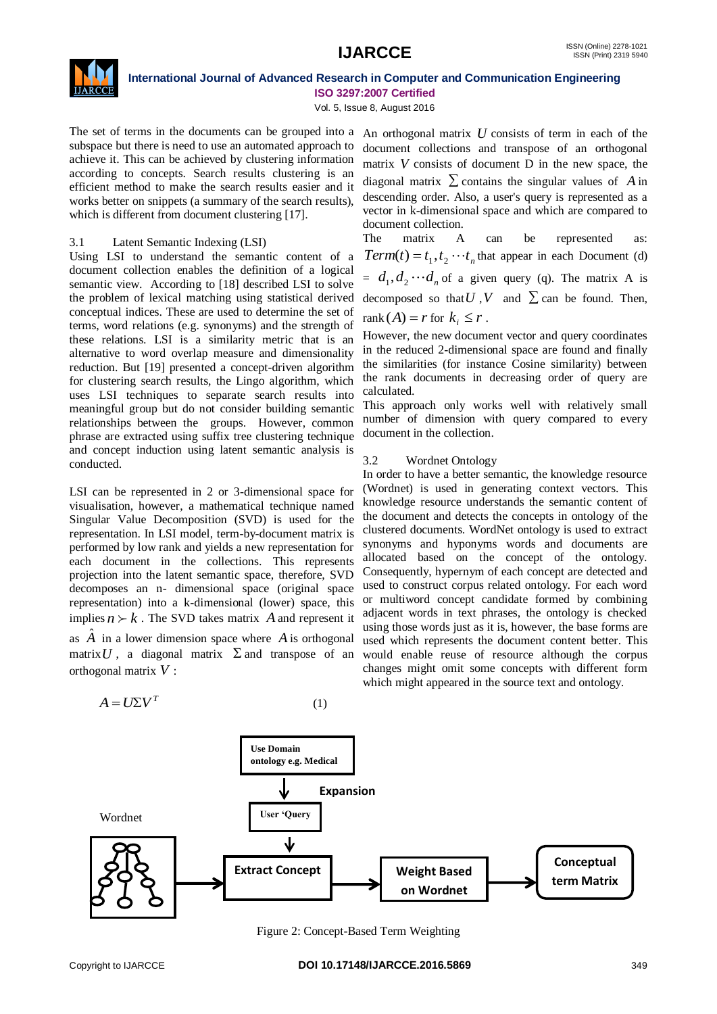

**International Journal of Advanced Research in Computer and Communication Engineering ISO 3297:2007 Certified**

Vol. 5, Issue 8, August 2016

The set of terms in the documents can be grouped into a subspace but there is need to use an automated approach to achieve it. This can be achieved by clustering information according to concepts. Search results clustering is an efficient method to make the search results easier and it works better on snippets (a summary of the search results), which is different from document clustering [17].

# 3.1 Latent Semantic Indexing (LSI)

Using LSI to understand the semantic content of a document collection enables the definition of a logical semantic view. According to [18] described LSI to solve the problem of lexical matching using statistical derived conceptual indices. These are used to determine the set of terms, word relations (e.g. synonyms) and the strength of these relations. LSI is a similarity metric that is an alternative to word overlap measure and dimensionality reduction. But [19] presented a concept-driven algorithm for clustering search results, the Lingo algorithm, which uses LSI techniques to separate search results into meaningful group but do not consider building semantic relationships between the groups. However, common phrase are extracted using suffix tree clustering technique and concept induction using latent semantic analysis is conducted.

LSI can be represented in 2 or 3-dimensional space for visualisation, however, a mathematical technique named Singular Value Decomposition (SVD) is used for the representation. In LSI model, term-by-document matrix is performed by low rank and yields a new representation for each document in the collections. This represents projection into the latent semantic space, therefore, SVD decomposes an n- dimensional space (original space representation) into a k-dimensional (lower) space, this implies  $n \succ k$ . The SVD takes matrix A and represent it as  $\hat{A}$  in a lower dimension space where  $A$  is orthogonal matrix  $U$ , a diagonal matrix  $\Sigma$  and transpose of an

 $A = U\Sigma V^T$ (1)

An orthogonal matrix *U* consists of term in each of the document collections and transpose of an orthogonal matrix  $V$  consists of document  $D$  in the new space, the diagonal matrix  $\sum$  contains the singular values of A in descending order. Also, a user's query is represented as a vector in k-dimensional space and which are compared to document collection.

The matrix A can be represented as:  $Term(t) = t_1, t_2 \cdots t_n$  that appear in each Document (d)  $d_1, d_2 \cdots d_n$  of a given query (q). The matrix A is decomposed so that  $U$ ,  $V$  and  $\Sigma$  can be found. Then, rank  $(A) = r$  for  $k_i \leq r$ .

However, the new document vector and query coordinates in the reduced 2-dimensional space are found and finally the similarities (for instance Cosine similarity) between the rank documents in decreasing order of query are calculated.

This approach only works well with relatively small number of dimension with query compared to every document in the collection.

# 3.2 Wordnet Ontology

In order to have a better semantic, the knowledge resource (Wordnet) is used in generating context vectors. This knowledge resource understands the semantic content of the document and detects the concepts in ontology of the clustered documents. WordNet ontology is used to extract synonyms and hyponyms words and documents are allocated based on the concept of the ontology. Consequently, hypernym of each concept are detected and used to construct corpus related ontology. For each word or multiword concept candidate formed by combining adjacent words in text phrases, the ontology is checked using those words just as it is, however, the base forms are used which represents the document content better. This would enable reuse of resource although the corpus changes might omit some concepts with different form which might appeared in the source text and ontology.



Figure 2: Concept-Based Term Weighting

orthogonal matrix *V* :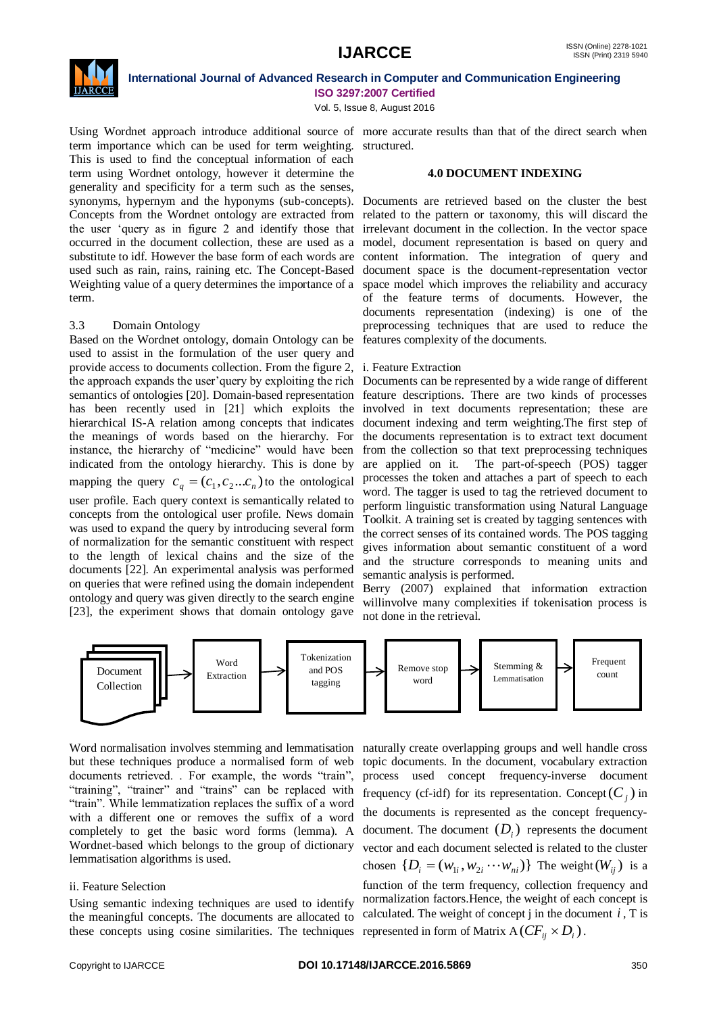

# **International Journal of Advanced Research in Computer and Communication Engineering**

**ISO 3297:2007 Certified**

Vol. 5, Issue 8, August 2016

term importance which can be used for term weighting. structured. This is used to find the conceptual information of each term using Wordnet ontology, however it determine the generality and specificity for a term such as the senses, synonyms, hypernym and the hyponyms (sub-concepts). Concepts from the Wordnet ontology are extracted from the user "query as in figure 2 and identify those that irrelevant document in the collection. In the vector space occurred in the document collection, these are used as a substitute to idf. However the base form of each words are used such as rain, rains, raining etc. The Concept-Based Weighting value of a query determines the importance of a term.

# 3.3 Domain Ontology

Based on the Wordnet ontology, domain Ontology can be used to assist in the formulation of the user query and provide access to documents collection. From the figure 2, the approach expands the user"query by exploiting the rich semantics of ontologies [20]. Domain-based representation has been recently used in [21] which exploits the hierarchical IS-A relation among concepts that indicates the meanings of words based on the hierarchy. For instance, the hierarchy of "medicine" would have been indicated from the ontology hierarchy. This is done by mapping the query  $c_q = (c_1, c_2...c_n)$  to the ontological user profile. Each query context is semantically related to concepts from the ontological user profile. News domain was used to expand the query by introducing several form of normalization for the semantic constituent with respect to the length of lexical chains and the size of the documents [22]. An experimental analysis was performed on queries that were refined using the domain independent ontology and query was given directly to the search engine [23], the experiment shows that domain ontology gave

Using Wordnet approach introduce additional source of more accurate results than that of the direct search when

#### **4.0 DOCUMENT INDEXING**

Documents are retrieved based on the cluster the best related to the pattern or taxonomy, this will discard the model, document representation is based on query and content information. The integration of query and document space is the document-representation vector space model which improves the reliability and accuracy of the feature terms of documents. However, the documents representation (indexing) is one of the preprocessing techniques that are used to reduce the features complexity of the documents.

#### i. Feature Extraction

Documents can be represented by a wide range of different feature descriptions. There are two kinds of processes involved in text documents representation; these are document indexing and term weighting.The first step of the documents representation is to extract text document from the collection so that text preprocessing techniques are applied on it. The part-of-speech (POS) tagger processes the token and attaches a part of speech to each word. The tagger is used to tag the retrieved document to perform linguistic transformation using Natural Language Toolkit. A training set is created by tagging sentences with the correct senses of its contained words. The POS tagging gives information about semantic constituent of a word and the structure corresponds to meaning units and semantic analysis is performed.

Berry (2007) explained that information extraction willinvolve many complexities if tokenisation process is not done in the retrieval.



Word normalisation involves stemming and lemmatisation naturally create overlapping groups and well handle cross but these techniques produce a normalised form of web documents retrieved. . For example, the words "train", "training", "trainer" and "trains" can be replaced with "train". While lemmatization replaces the suffix of a word with a different one or removes the suffix of a word completely to get the basic word forms (lemma). A Wordnet-based which belongs to the group of dictionary lemmatisation algorithms is used.

# ii. Feature Selection

Using semantic indexing techniques are used to identify the meaningful concepts. The documents are allocated to these concepts using cosine similarities. The techniques represented in form of Matrix A $(CF_{ij} \times D_i)$ .

topic documents. In the document, vocabulary extraction process used concept frequency-inverse document frequency (cf-idf) for its representation. Concept  $(C_j)$  in the documents is represented as the concept frequencydocument. The document  $(D_i)$  represents the document vector and each document selected is related to the cluster chosen  $\{D_i = (w_{1i}, w_{2i} \cdots w_{ni})\}$  The weight  $(W_{ij})$  is a function of the term frequency, collection frequency and normalization factors.Hence, the weight of each concept is calculated. The weight of concept  $j$  in the document  $i$ ,  $T$  is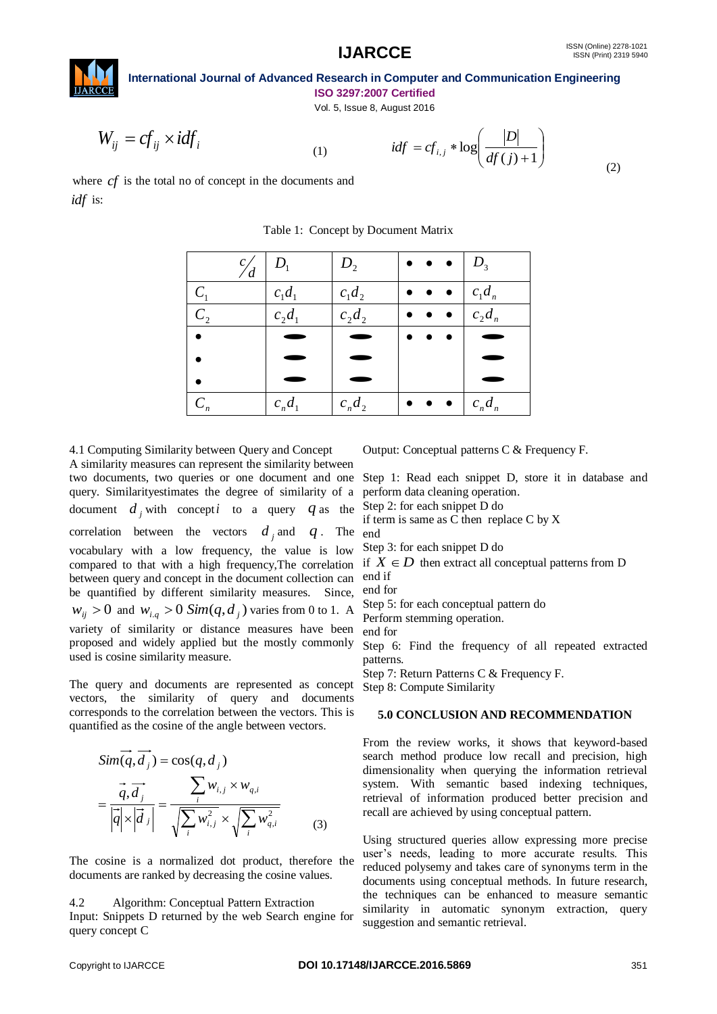(2)



**International Journal of Advanced Research in Computer and Communication Engineering ISO 3297:2007 Certified**

Vol. 5, Issue 8, August 2016

$$
W_{ij} = cf_{ij} \times idf_i
$$

$$
(1)
$$

$$
idf = cf_{i,j} * \log \left( \frac{|D|}{df(j) + 1} \right)
$$

where *cf* is the total no of concept in the documents and *idf* is:

| $\mathcal{C}_{i}$<br>'d | $D_1$     | $D_{2}$   | $\bullet \bullet \bullet   D_3$ |           |
|-------------------------|-----------|-----------|---------------------------------|-----------|
| $C_1$                   | $c_1d_1$  | $c_1d_2$  |                                 | $c_1d_n$  |
| $C_{2}$                 | $c_2d_1$  | $c_2d_2$  |                                 | $c_2d_n$  |
|                         |           |           | $\bullet$                       |           |
|                         |           |           |                                 |           |
|                         |           |           |                                 |           |
| $C_n$                   | $c_n d_1$ | $c_n d_2$ |                                 | $c_n d_n$ |

Table 1: Concept by Document Matrix

4.1 Computing Similarity between Query and Concept A similarity measures can represent the similarity between two documents, two queries or one document and one Step 1: Read each snippet D, store it in database and query. Similarityestimates the degree of similarity of a document  $d_j$  with concept *i* to a query  $q$  as the Step 2: for each snippet D do correlation between the vectors  $d_j$  and  $q$ . The vocabulary with a low frequency, the value is low compared to that with a high frequency,The correlation between query and concept in the document collection can be quantified by different similarity measures. Since,  $w_{ij} > 0$  and  $w_{i,q} > 0$  *Sim*( $q$ , $d_j$ ) varies from 0 to 1. A variety of similarity or distance measures have been proposed and widely applied but the mostly commonly used is cosine similarity measure.

The query and documents are represented as concept vectors, the similarity of query and documents corresponds to the correlation between the vectors. This is quantified as the cosine of the angle between vectors.

$$
Sim(q, d_j) = cos(q, d_j)
$$
  
= 
$$
\frac{\vec{q}, \vec{d_j}}{|\vec{q}| \times |\vec{d_j}|} = \frac{\sum_i w_{i,j} \times w_{q,i}}{\sqrt{\sum_i w_{i,j}^2} \times \sqrt{\sum_i w_{q,i}^2}}
$$
 (3)

The cosine is a normalized dot product, therefore the documents are ranked by decreasing the cosine values.

#### 4.2 Algorithm: Conceptual Pattern Extraction

Input: Snippets D returned by the web Search engine for query concept C

Output: Conceptual patterns C & Frequency F.

perform data cleaning operation.

if term is same as C then replace C by X end

Step 3: for each snippet D do

if  $X \in D$  then extract all conceptual patterns from D end if

end for

Step 5: for each conceptual pattern do

Perform stemming operation.

end for

Step 6: Find the frequency of all repeated extracted patterns.

Step 7: Return Patterns C & Frequency F.

Step 8: Compute Similarity

#### **5.0 CONCLUSION AND RECOMMENDATION**

From the review works, it shows that keyword-based search method produce low recall and precision, high dimensionality when querying the information retrieval system. With semantic based indexing techniques, retrieval of information produced better precision and recall are achieved by using conceptual pattern.

Using structured queries allow expressing more precise user's needs, leading to more accurate results. This reduced polysemy and takes care of synonyms term in the documents using conceptual methods. In future research, the techniques can be enhanced to measure semantic similarity in automatic synonym extraction, query suggestion and semantic retrieval.